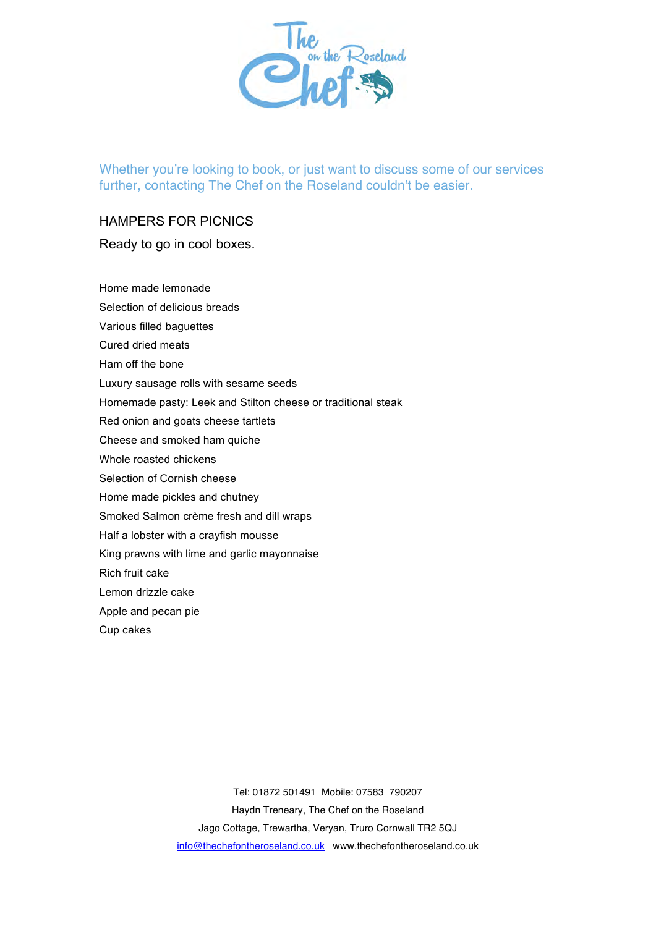

Whether you're looking to book, or just want to discuss some of our services further, contacting The Chef on the Roseland couldn't be easier.

## HAMPERS FOR PICNICS

## Ready to go in cool boxes.

Home made lemonade

- Selection of delicious breads
- Various filled baguettes
- Cured dried meats
- Ham off the bone
- Luxury sausage rolls with sesame seeds
- Homemade pasty: Leek and Stilton cheese or traditional steak
- Red onion and goats cheese tartlets
- Cheese and smoked ham quiche
- Whole roasted chickens
- Selection of Cornish cheese
- Home made pickles and chutney
- Smoked Salmon crème fresh and dill wraps
- Half a lobster with a crayfish mousse
- King prawns with lime and garlic mayonnaise
- Rich fruit cake
- Lemon drizzle cake
- Apple and pecan pie
- Cup cakes

Tel: 01872 501491 Mobile: 07583 790207 Haydn Treneary, The Chef on the Roseland Jago Cottage, Trewartha, Veryan, Truro Cornwall TR2 5QJ info@thechefontheroseland.co.uk www.thechefontheroseland.co.uk